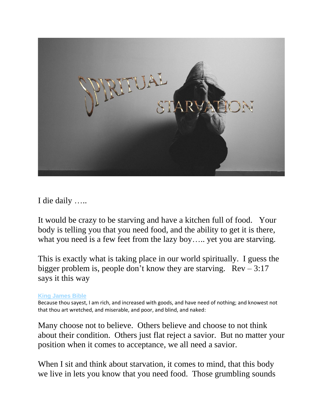

I die daily …..

It would be crazy to be starving and have a kitchen full of food. Your body is telling you that you need food, and the ability to get it is there, what you need is a few feet from the lazy boy….. yet you are starving.

This is exactly what is taking place in our world spiritually. I guess the bigger problem is, people don't know they are starving.  $\text{Rev} - 3:17$ says it this way

**[King James Bible](https://biblehub.com/kjv/revelation/3.htm)**

Because thou sayest, I am rich, and increased with goods, and have need of nothing; and knowest not that thou art wretched, and miserable, and poor, and blind, and naked:

Many choose not to believe. Others believe and choose to not think about their condition. Others just flat reject a savior. But no matter your position when it comes to acceptance, we all need a savior.

When I sit and think about starvation, it comes to mind, that this body we live in lets you know that you need food. Those grumbling sounds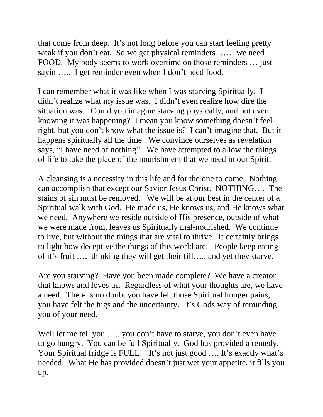that come from deep. It's not long before you can start feeling pretty weak if you don't eat. So we get physical reminders …… we need FOOD. My body seems to work overtime on those reminders … just sayin ….. I get reminder even when I don't need food.

I can remember what it was like when I was starving Spiritually. I didn't realize what my issue was. I didn't even realize how dire the situation was. Could you imagine starving physically, and not even knowing it was happening? I mean you know something doesn't feel right, but you don't know what the issue is? I can't imagine that. But it happens spiritually all the time. We convince ourselves as revelation says, "I have need of nothing". We have attempted to allow the things of life to take the place of the nourishment that we need in our Spirit.

A cleansing is a necessity in this life and for the one to come. Nothing can accomplish that except our Savior Jesus Christ. NOTHING…. The stains of sin must be removed. We will be at our best in the center of a Spiritual walk with God. He made us, He knows us, and He knows what we need. Anywhere we reside outside of His presence, outside of what we were made from, leaves us Spiritually mal-nourished. We continue to live, but without the things that are vital to thrive. It certainly brings to light how deceptive the things of this world are. People keep eating of it's fruit …. thinking they will get their fill….. and yet they starve.

Are you starving? Have you been made complete? We have a creator that knows and loves us. Regardless of what your thoughts are, we have a need. There is no doubt you have felt those Spiritual hunger pains, you have felt the tugs and the uncertainty. It's Gods way of reminding you of your need.

Well let me tell you ..... you don't have to starve, you don't even have to go hungry. You can be full Spiritually. God has provided a remedy. Your Spiritual fridge is FULL! It's not just good .... It's exactly what's needed. What He has provided doesn't just wet your appetite, it fills you up.